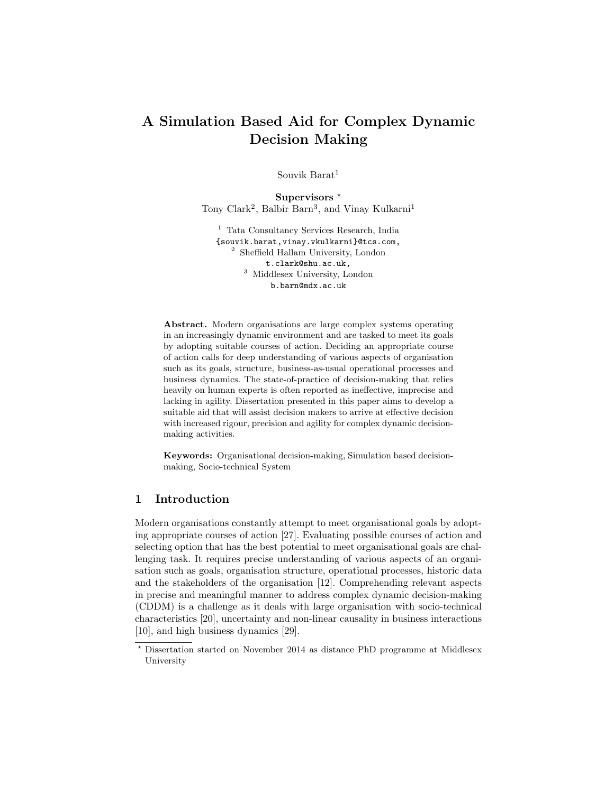# A Simulation Based Aid for Complex Dynamic Decision Making

Souvik Barat<sup>1</sup>

Supervisors<sup>\*</sup> Tony Clark<sup>2</sup>, Balbir Barn<sup>3</sup>, and Vinay Kulkarni<sup>1</sup>

<sup>1</sup> Tata Consultancy Services Research, India {souvik.barat,vinay.vkulkarni}@tcs.com, <sup>2</sup> Sheffield Hallam University, London t.clark@shu.ac.uk, <sup>3</sup> Middlesex University, London b.barn@mdx.ac.uk

Abstract. Modern organisations are large complex systems operating in an increasingly dynamic environment and are tasked to meet its goals by adopting suitable courses of action. Deciding an appropriate course of action calls for deep understanding of various aspects of organisation such as its goals, structure, business-as-usual operational processes and business dynamics. The state-of-practice of decision-making that relies heavily on human experts is often reported as ineffective, imprecise and lacking in agility. Dissertation presented in this paper aims to develop a suitable aid that will assist decision makers to arrive at effective decision with increased rigour, precision and agility for complex dynamic decisionmaking activities.

Keywords: Organisational decision-making, Simulation based decisionmaking, Socio-technical System

## 1 Introduction

Modern organisations constantly attempt to meet organisational goals by adopting appropriate courses of action [27]. Evaluating possible courses of action and selecting option that has the best potential to meet organisational goals are challenging task. It requires precise understanding of various aspects of an organisation such as goals, organisation structure, operational processes, historic data and the stakeholders of the organisation [12]. Comprehending relevant aspects in precise and meaningful manner to address complex dynamic decision-making (CDDM) is a challenge as it deals with large organisation with socio-technical characteristics [20], uncertainty and non-linear causality in business interactions [10], and high business dynamics [29].

<sup>?</sup> Dissertation started on November 2014 as distance PhD programme at Middlesex University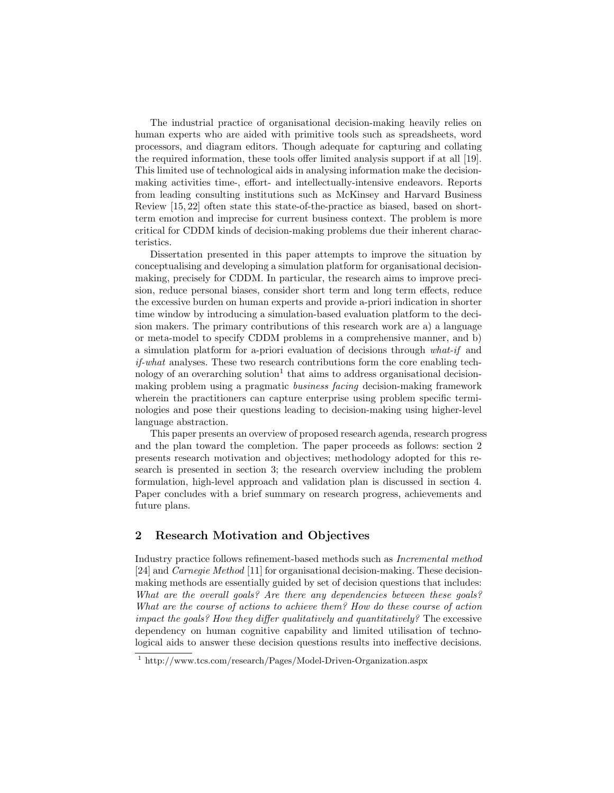The industrial practice of organisational decision-making heavily relies on human experts who are aided with primitive tools such as spreadsheets, word processors, and diagram editors. Though adequate for capturing and collating the required information, these tools offer limited analysis support if at all [19]. This limited use of technological aids in analysing information make the decisionmaking activities time-, effort- and intellectually-intensive endeavors. Reports from leading consulting institutions such as McKinsey and Harvard Business Review [15, 22] often state this state-of-the-practice as biased, based on shortterm emotion and imprecise for current business context. The problem is more critical for CDDM kinds of decision-making problems due their inherent characteristics.

Dissertation presented in this paper attempts to improve the situation by conceptualising and developing a simulation platform for organisational decisionmaking, precisely for CDDM. In particular, the research aims to improve precision, reduce personal biases, consider short term and long term effects, reduce the excessive burden on human experts and provide a-priori indication in shorter time window by introducing a simulation-based evaluation platform to the decision makers. The primary contributions of this research work are a) a language or meta-model to specify CDDM problems in a comprehensive manner, and b) a simulation platform for a-priori evaluation of decisions through what-if and if-what analyses. These two research contributions form the core enabling technology of an overarching solution<sup>1</sup> that aims to address organisational decisionmaking problem using a pragmatic business facing decision-making framework wherein the practitioners can capture enterprise using problem specific terminologies and pose their questions leading to decision-making using higher-level language abstraction.

This paper presents an overview of proposed research agenda, research progress and the plan toward the completion. The paper proceeds as follows: section 2 presents research motivation and objectives; methodology adopted for this research is presented in section 3; the research overview including the problem formulation, high-level approach and validation plan is discussed in section 4. Paper concludes with a brief summary on research progress, achievements and future plans.

# 2 Research Motivation and Objectives

Industry practice follows refinement-based methods such as Incremental method [24] and Carnegie Method [11] for organisational decision-making. These decisionmaking methods are essentially guided by set of decision questions that includes: What are the overall goals? Are there any dependencies between these goals? What are the course of actions to achieve them? How do these course of action impact the goals? How they differ qualitatively and quantitatively? The excessive dependency on human cognitive capability and limited utilisation of technological aids to answer these decision questions results into ineffective decisions.

<sup>1</sup> http://www.tcs.com/research/Pages/Model-Driven-Organization.aspx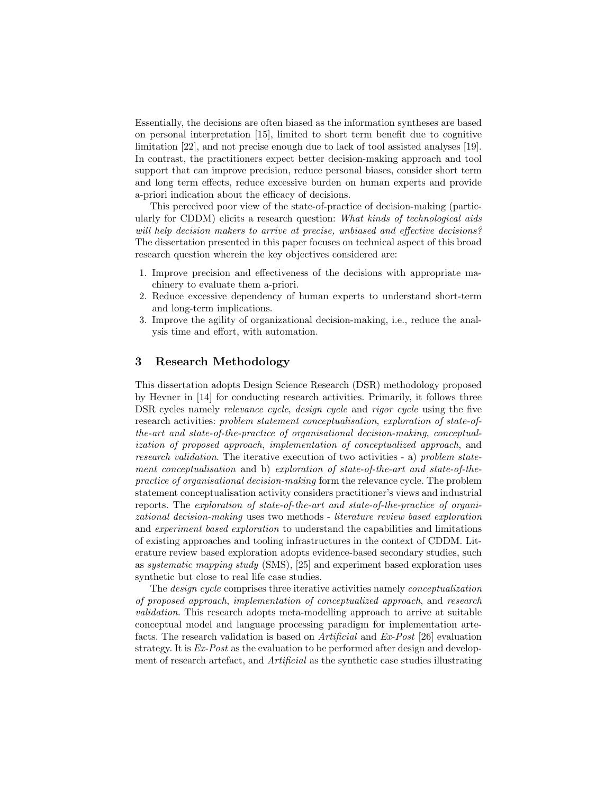Essentially, the decisions are often biased as the information syntheses are based on personal interpretation [15], limited to short term benefit due to cognitive limitation [22], and not precise enough due to lack of tool assisted analyses [19]. In contrast, the practitioners expect better decision-making approach and tool support that can improve precision, reduce personal biases, consider short term and long term effects, reduce excessive burden on human experts and provide a-priori indication about the efficacy of decisions.

This perceived poor view of the state-of-practice of decision-making (particularly for CDDM) elicits a research question: What kinds of technological aids will help decision makers to arrive at precise, unbiased and effective decisions? The dissertation presented in this paper focuses on technical aspect of this broad research question wherein the key objectives considered are:

- 1. Improve precision and effectiveness of the decisions with appropriate machinery to evaluate them a-priori.
- 2. Reduce excessive dependency of human experts to understand short-term and long-term implications.
- 3. Improve the agility of organizational decision-making, i.e., reduce the analysis time and effort, with automation.

## 3 Research Methodology

This dissertation adopts Design Science Research (DSR) methodology proposed by Hevner in [14] for conducting research activities. Primarily, it follows three DSR cycles namely *relevance cycle, design cycle* and *rigor cycle* using the five research activities: problem statement conceptualisation, exploration of state-ofthe-art and state-of-the-practice of organisational decision-making, conceptualization of proposed approach, implementation of conceptualized approach, and research validation. The iterative execution of two activities - a) problem statement conceptualisation and b) exploration of state-of-the-art and state-of-thepractice of organisational decision-making form the relevance cycle. The problem statement conceptualisation activity considers practitioner's views and industrial reports. The exploration of state-of-the-art and state-of-the-practice of organizational decision-making uses two methods - literature review based exploration and experiment based exploration to understand the capabilities and limitations of existing approaches and tooling infrastructures in the context of CDDM. Literature review based exploration adopts evidence-based secondary studies, such as systematic mapping study (SMS), [25] and experiment based exploration uses synthetic but close to real life case studies.

The design cycle comprises three iterative activities namely conceptualization of proposed approach, implementation of conceptualized approach, and research validation. This research adopts meta-modelling approach to arrive at suitable conceptual model and language processing paradigm for implementation artefacts. The research validation is based on Artificial and Ex-Post [26] evaluation strategy. It is  $Ex\text{-}Post$  as the evaluation to be performed after design and development of research artefact, and *Artificial* as the synthetic case studies illustrating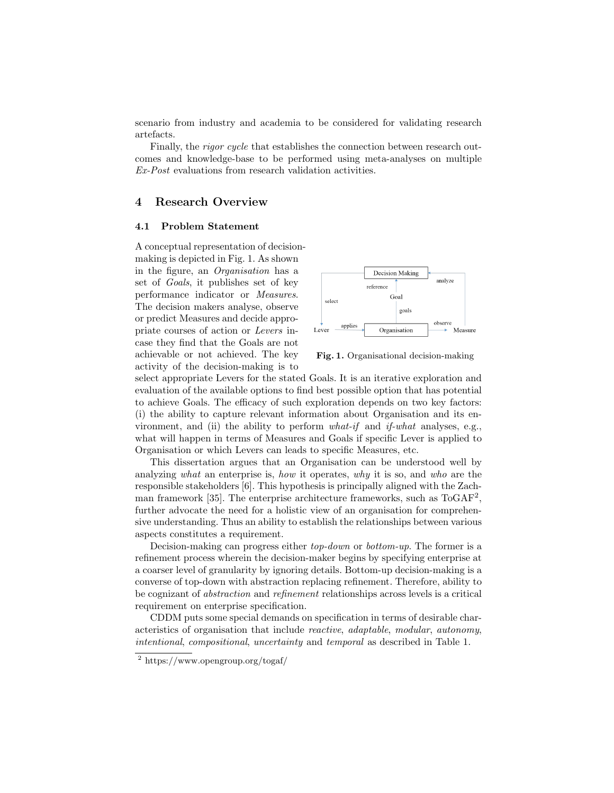scenario from industry and academia to be considered for validating research artefacts.

Finally, the rigor cycle that establishes the connection between research outcomes and knowledge-base to be performed using meta-analyses on multiple Ex-Post evaluations from research validation activities.

### 4 Research Overview

#### 4.1 Problem Statement

A conceptual representation of decisionmaking is depicted in Fig. 1. As shown in the figure, an Organisation has a set of Goals, it publishes set of key performance indicator or Measures. The decision makers analyse, observe or predict Measures and decide appropriate courses of action or Levers incase they find that the Goals are not achievable or not achieved. The key activity of the decision-making is to



Fig. 1. Organisational decision-making

select appropriate Levers for the stated Goals. It is an iterative exploration and evaluation of the available options to find best possible option that has potential to achieve Goals. The efficacy of such exploration depends on two key factors: (i) the ability to capture relevant information about Organisation and its environment, and (ii) the ability to perform  $what\text{-}if$  and if-what analyses, e.g., what will happen in terms of Measures and Goals if specific Lever is applied to Organisation or which Levers can leads to specific Measures, etc.

This dissertation argues that an Organisation can be understood well by analyzing what an enterprise is, how it operates, why it is so, and who are the responsible stakeholders [6]. This hypothesis is principally aligned with the Zachman framework [35]. The enterprise architecture frameworks, such as ToGAF<sup>2</sup>, further advocate the need for a holistic view of an organisation for comprehensive understanding. Thus an ability to establish the relationships between various aspects constitutes a requirement.

Decision-making can progress either top-down or bottom-up. The former is a refinement process wherein the decision-maker begins by specifying enterprise at a coarser level of granularity by ignoring details. Bottom-up decision-making is a converse of top-down with abstraction replacing refinement. Therefore, ability to be cognizant of abstraction and refinement relationships across levels is a critical requirement on enterprise specification.

CDDM puts some special demands on specification in terms of desirable characteristics of organisation that include reactive, adaptable, modular, autonomy, intentional, compositional, uncertainty and temporal as described in Table 1.

<sup>2</sup> https://www.opengroup.org/togaf/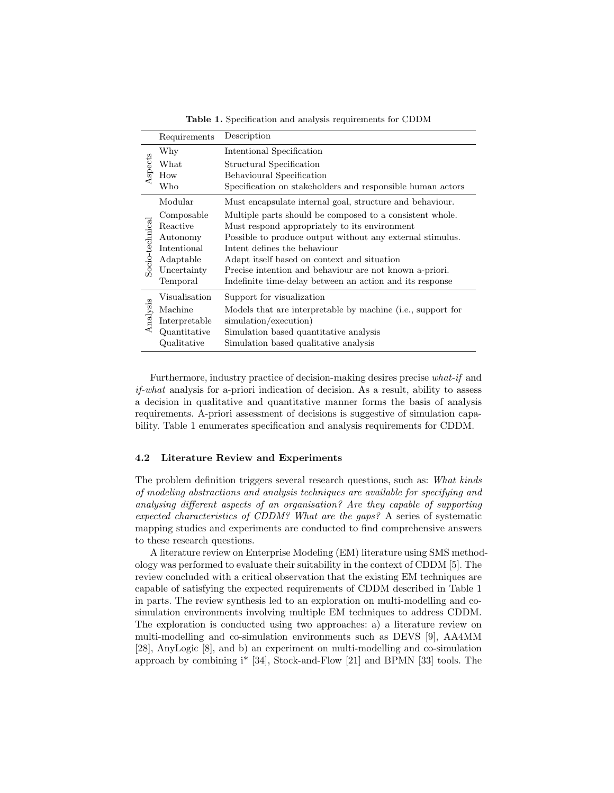|                 | Requirements  | Description                                                 |
|-----------------|---------------|-------------------------------------------------------------|
| Aspects         | Why           | Intentional Specification                                   |
|                 | What          | Structural Specification                                    |
|                 | How           | Behavioural Specification                                   |
|                 | Who           | Specification on stakeholders and responsible human actors  |
| Socio-technical | Modular       | Must encapsulate internal goal, structure and behaviour.    |
|                 | Composable    | Multiple parts should be composed to a consistent whole.    |
|                 | Reactive      | Must respond appropriately to its environment               |
|                 | Autonomy      | Possible to produce output without any external stimulus.   |
|                 | Intentional   | Intent defines the behaviour                                |
|                 | Adaptable     | Adapt itself based on context and situation                 |
|                 | Uncertainty   | Precise intention and behaviour are not known a-priori.     |
|                 | Temporal      | Indefinite time-delay between an action and its response    |
| Analysis        | Visualisation | Support for visualization                                   |
|                 | Machine       | Models that are interpretable by machine (i.e., support for |
|                 | Interpretable | simulation/execution)                                       |
|                 | Quantitative  | Simulation based quantitative analysis                      |
|                 | Qualitative   | Simulation based qualitative analysis                       |

Table 1. Specification and analysis requirements for CDDM

Furthermore, industry practice of decision-making desires precise what-if and if-what analysis for a-priori indication of decision. As a result, ability to assess a decision in qualitative and quantitative manner forms the basis of analysis requirements. A-priori assessment of decisions is suggestive of simulation capability. Table 1 enumerates specification and analysis requirements for CDDM.

#### 4.2 Literature Review and Experiments

The problem definition triggers several research questions, such as: What kinds of modeling abstractions and analysis techniques are available for specifying and analysing different aspects of an organisation? Are they capable of supporting expected characteristics of CDDM? What are the gaps? A series of systematic mapping studies and experiments are conducted to find comprehensive answers to these research questions.

A literature review on Enterprise Modeling (EM) literature using SMS methodology was performed to evaluate their suitability in the context of CDDM [5]. The review concluded with a critical observation that the existing EM techniques are capable of satisfying the expected requirements of CDDM described in Table 1 in parts. The review synthesis led to an exploration on multi-modelling and cosimulation environments involving multiple EM techniques to address CDDM. The exploration is conducted using two approaches: a) a literature review on multi-modelling and co-simulation environments such as DEVS [9], AA4MM [28], AnyLogic [8], and b) an experiment on multi-modelling and co-simulation approach by combining i\* [34], Stock-and-Flow [21] and BPMN [33] tools. The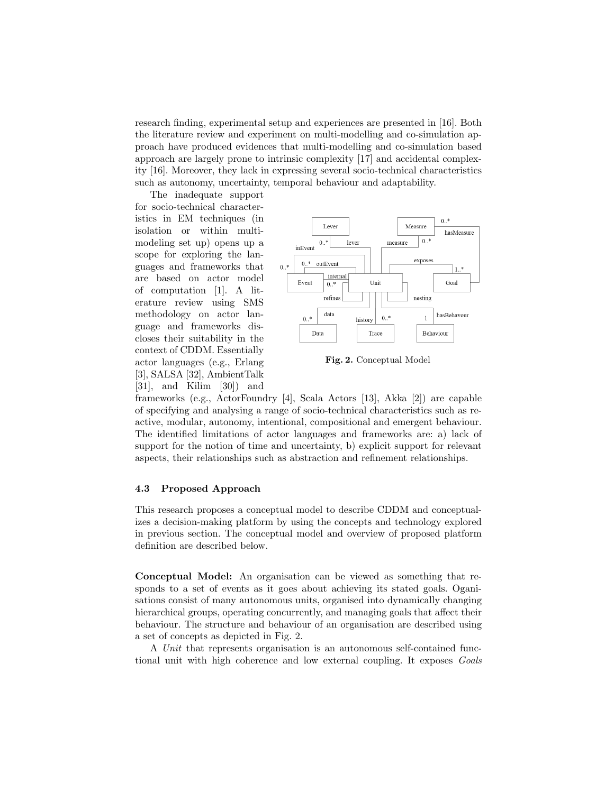research finding, experimental setup and experiences are presented in [16]. Both the literature review and experiment on multi-modelling and co-simulation approach have produced evidences that multi-modelling and co-simulation based approach are largely prone to intrinsic complexity [17] and accidental complexity [16]. Moreover, they lack in expressing several socio-technical characteristics such as autonomy, uncertainty, temporal behaviour and adaptability.

The inadequate support for socio-technical characteristics in EM techniques (in isolation or within multimodeling set up) opens up a scope for exploring the languages and frameworks that are based on actor model of computation [1]. A literature review using SMS methodology on actor language and frameworks discloses their suitability in the context of CDDM. Essentially actor languages (e.g., Erlang [3], SALSA [32], AmbientTalk [31], and Kilim [30]) and



Fig. 2. Conceptual Model

frameworks (e.g., ActorFoundry [4], Scala Actors [13], Akka [2]) are capable of specifying and analysing a range of socio-technical characteristics such as reactive, modular, autonomy, intentional, compositional and emergent behaviour. The identified limitations of actor languages and frameworks are: a) lack of support for the notion of time and uncertainty, b) explicit support for relevant aspects, their relationships such as abstraction and refinement relationships.

#### 4.3 Proposed Approach

This research proposes a conceptual model to describe CDDM and conceptualizes a decision-making platform by using the concepts and technology explored in previous section. The conceptual model and overview of proposed platform definition are described below.

Conceptual Model: An organisation can be viewed as something that responds to a set of events as it goes about achieving its stated goals. Oganisations consist of many autonomous units, organised into dynamically changing hierarchical groups, operating concurrently, and managing goals that affect their behaviour. The structure and behaviour of an organisation are described using a set of concepts as depicted in Fig. 2.

A Unit that represents organisation is an autonomous self-contained functional unit with high coherence and low external coupling. It exposes Goals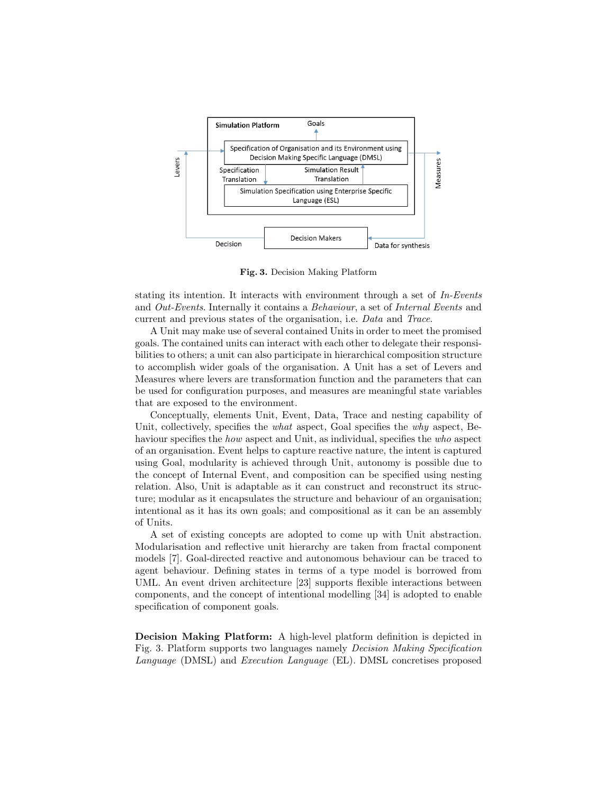

Fig. 3. Decision Making Platform

stating its intention. It interacts with environment through a set of In-Events and Out-Events. Internally it contains a Behaviour, a set of Internal Events and current and previous states of the organisation, i.e. Data and Trace.

A Unit may make use of several contained Units in order to meet the promised goals. The contained units can interact with each other to delegate their responsibilities to others; a unit can also participate in hierarchical composition structure to accomplish wider goals of the organisation. A Unit has a set of Levers and Measures where levers are transformation function and the parameters that can be used for configuration purposes, and measures are meaningful state variables that are exposed to the environment.

Conceptually, elements Unit, Event, Data, Trace and nesting capability of Unit, collectively, specifies the *what* aspect, Goal specifies the *why* aspect, Behaviour specifies the *how* aspect and Unit, as individual, specifies the *who* aspect of an organisation. Event helps to capture reactive nature, the intent is captured using Goal, modularity is achieved through Unit, autonomy is possible due to the concept of Internal Event, and composition can be specified using nesting relation. Also, Unit is adaptable as it can construct and reconstruct its structure; modular as it encapsulates the structure and behaviour of an organisation; intentional as it has its own goals; and compositional as it can be an assembly of Units.

A set of existing concepts are adopted to come up with Unit abstraction. Modularisation and reflective unit hierarchy are taken from fractal component models [7]. Goal-directed reactive and autonomous behaviour can be traced to agent behaviour. Defining states in terms of a type model is borrowed from UML. An event driven architecture [23] supports flexible interactions between components, and the concept of intentional modelling [34] is adopted to enable specification of component goals.

Decision Making Platform: A high-level platform definition is depicted in Fig. 3. Platform supports two languages namely Decision Making Specification Language (DMSL) and Execution Language (EL). DMSL concretises proposed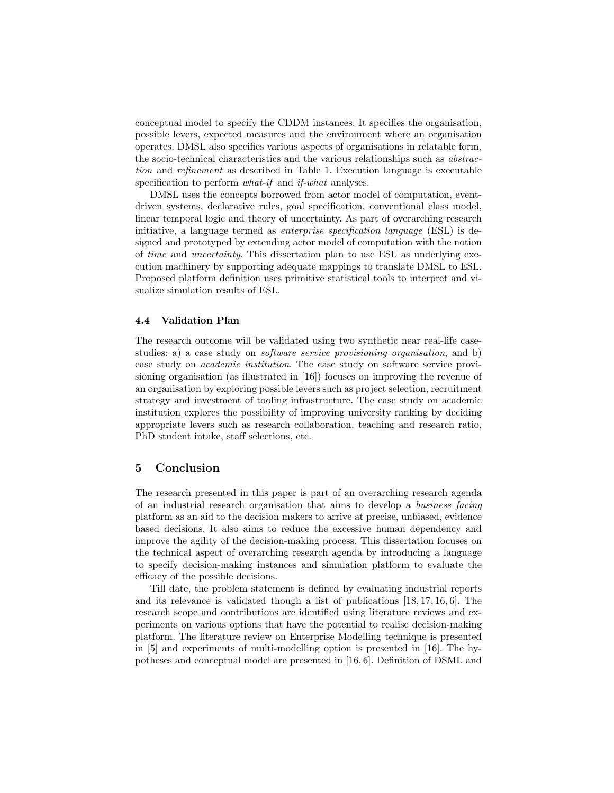conceptual model to specify the CDDM instances. It specifies the organisation, possible levers, expected measures and the environment where an organisation operates. DMSL also specifies various aspects of organisations in relatable form, the socio-technical characteristics and the various relationships such as abstraction and refinement as described in Table 1. Execution language is executable specification to perform *what-if* and *if-what* analyses.

DMSL uses the concepts borrowed from actor model of computation, eventdriven systems, declarative rules, goal specification, conventional class model, linear temporal logic and theory of uncertainty. As part of overarching research initiative, a language termed as enterprise specification language (ESL) is designed and prototyped by extending actor model of computation with the notion of time and uncertainty. This dissertation plan to use ESL as underlying execution machinery by supporting adequate mappings to translate DMSL to ESL. Proposed platform definition uses primitive statistical tools to interpret and visualize simulation results of ESL.

#### 4.4 Validation Plan

The research outcome will be validated using two synthetic near real-life casestudies: a) a case study on *software service provisioning organisation*, and b) case study on academic institution. The case study on software service provisioning organisation (as illustrated in [16]) focuses on improving the revenue of an organisation by exploring possible levers such as project selection, recruitment strategy and investment of tooling infrastructure. The case study on academic institution explores the possibility of improving university ranking by deciding appropriate levers such as research collaboration, teaching and research ratio, PhD student intake, staff selections, etc.

## 5 Conclusion

The research presented in this paper is part of an overarching research agenda of an industrial research organisation that aims to develop a business facing platform as an aid to the decision makers to arrive at precise, unbiased, evidence based decisions. It also aims to reduce the excessive human dependency and improve the agility of the decision-making process. This dissertation focuses on the technical aspect of overarching research agenda by introducing a language to specify decision-making instances and simulation platform to evaluate the efficacy of the possible decisions.

Till date, the problem statement is defined by evaluating industrial reports and its relevance is validated though a list of publications [18, 17, 16, 6]. The research scope and contributions are identified using literature reviews and experiments on various options that have the potential to realise decision-making platform. The literature review on Enterprise Modelling technique is presented in [5] and experiments of multi-modelling option is presented in [16]. The hypotheses and conceptual model are presented in [16, 6]. Definition of DSML and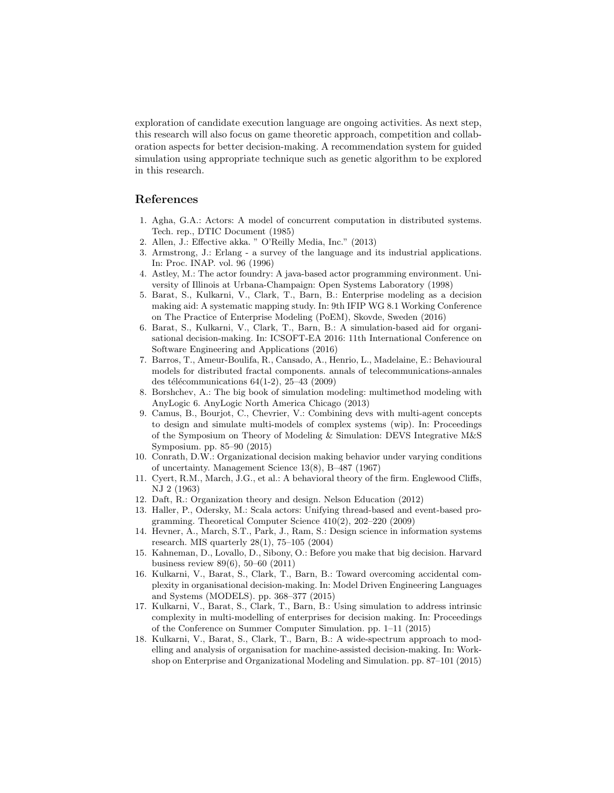exploration of candidate execution language are ongoing activities. As next step, this research will also focus on game theoretic approach, competition and collaboration aspects for better decision-making. A recommendation system for guided simulation using appropriate technique such as genetic algorithm to be explored in this research.

## References

- 1. Agha, G.A.: Actors: A model of concurrent computation in distributed systems. Tech. rep., DTIC Document (1985)
- 2. Allen, J.: Effective akka. " O'Reilly Media, Inc." (2013)
- 3. Armstrong, J.: Erlang a survey of the language and its industrial applications. In: Proc. INAP. vol. 96 (1996)
- 4. Astley, M.: The actor foundry: A java-based actor programming environment. University of Illinois at Urbana-Champaign: Open Systems Laboratory (1998)
- 5. Barat, S., Kulkarni, V., Clark, T., Barn, B.: Enterprise modeling as a decision making aid: A systematic mapping study. In: 9th IFIP WG 8.1 Working Conference on The Practice of Enterprise Modeling (PoEM), Skovde, Sweden (2016)
- 6. Barat, S., Kulkarni, V., Clark, T., Barn, B.: A simulation-based aid for organisational decision-making. In: ICSOFT-EA 2016: 11th International Conference on Software Engineering and Applications (2016)
- 7. Barros, T., Ameur-Boulifa, R., Cansado, A., Henrio, L., Madelaine, E.: Behavioural models for distributed fractal components. annals of telecommunications-annales des télécommunications  $64(1-2)$ , 25–43 (2009)
- 8. Borshchev, A.: The big book of simulation modeling: multimethod modeling with AnyLogic 6. AnyLogic North America Chicago (2013)
- 9. Camus, B., Bourjot, C., Chevrier, V.: Combining devs with multi-agent concepts to design and simulate multi-models of complex systems (wip). In: Proceedings of the Symposium on Theory of Modeling & Simulation: DEVS Integrative M&S Symposium. pp. 85–90 (2015)
- 10. Conrath, D.W.: Organizational decision making behavior under varying conditions of uncertainty. Management Science 13(8), B–487 (1967)
- 11. Cyert, R.M., March, J.G., et al.: A behavioral theory of the firm. Englewood Cliffs, NJ 2 (1963)
- 12. Daft, R.: Organization theory and design. Nelson Education (2012)
- 13. Haller, P., Odersky, M.: Scala actors: Unifying thread-based and event-based programming. Theoretical Computer Science 410(2), 202–220 (2009)
- 14. Hevner, A., March, S.T., Park, J., Ram, S.: Design science in information systems research. MIS quarterly 28(1), 75–105 (2004)
- 15. Kahneman, D., Lovallo, D., Sibony, O.: Before you make that big decision. Harvard business review 89(6), 50–60 (2011)
- 16. Kulkarni, V., Barat, S., Clark, T., Barn, B.: Toward overcoming accidental complexity in organisational decision-making. In: Model Driven Engineering Languages and Systems (MODELS). pp. 368–377 (2015)
- 17. Kulkarni, V., Barat, S., Clark, T., Barn, B.: Using simulation to address intrinsic complexity in multi-modelling of enterprises for decision making. In: Proceedings of the Conference on Summer Computer Simulation. pp. 1–11 (2015)
- 18. Kulkarni, V., Barat, S., Clark, T., Barn, B.: A wide-spectrum approach to modelling and analysis of organisation for machine-assisted decision-making. In: Workshop on Enterprise and Organizational Modeling and Simulation. pp. 87–101 (2015)